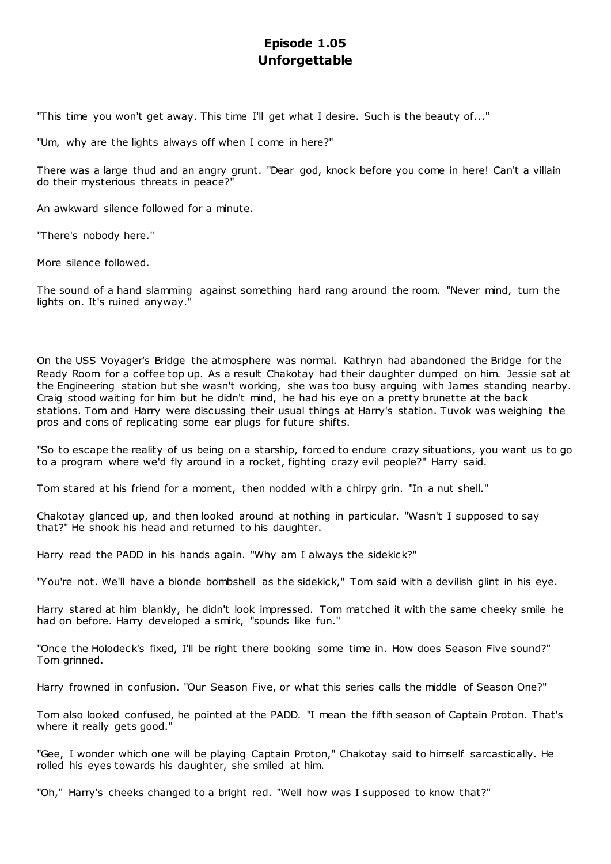# **Episode 1.05 Unforgettable**

"This time you won't get away. This time I'll get what I desire. Such is the beauty of..."

"Um, why are the lights always off when I come in here?"

There was a large thud and an angry grunt. "Dear god, knock before you come in here! Can't a villain do their mysterious threats in peace?"

An awkward silence followed for a minute.

"There's nobody here."

More silence followed.

The sound of a hand slamming against something hard rang around the room. "Never mind, turn the lights on. It's ruined anyway."

On the USS Voyager's Bridge the atmosphere was normal. Kathryn had abandoned the Bridge for the Ready Room for a coffee top up. As a result Chakotay had their daughter dumped on him. Jessie sat at the Engineering station but she wasn't working, she was too busy arguing with James standing nearby. Craig stood waiting for him but he didn't mind, he had his eye on a pretty brunette at the back stations. Tom and Harry were discussing their usual things at Harry's station. Tuvok was weighing the pros and cons of replicating some ear plugs for future shifts.

"So to escape the reality of us being on a starship, forced to endure crazy situations, you want us to go to a program where we'd fly around in a rocket, fighting crazy evil people?" Harry said.

Tom stared at his friend for a moment, then nodded with a chirpy grin. "In a nut shell."

Chakotay glanced up, and then looked around at nothing in particular. "Wasn't I supposed to say that?" He shook his head and returned to his daughter.

Harry read the PADD in his hands again. "Why am I always the sidekick?"

"You're not. We'll have a blonde bombshell as the sidekick," Tom said with a devilish glint in his eye.

Harry stared at him blankly, he didn't look impressed. Tom matched it with the same cheeky smile he had on before. Harry developed a smirk, "sounds like fun."

"Once the Holodeck's fixed, I'll be right there booking some time in. How does Season Five sound?" Tom grinned.

Harry frowned in confusion. "Our Season Five, or what this series calls the middle of Season One?"

Tom also looked confused, he pointed at the PADD. "I mean the fifth season of Captain Proton. That's where it really gets good."

"Gee, I wonder which one will be playing Captain Proton," Chakotay said to himself sarcastically. He rolled his eyes towards his daughter, she smiled at him.

"Oh," Harry's cheeks changed to a bright red. "Well how was I supposed to know that?"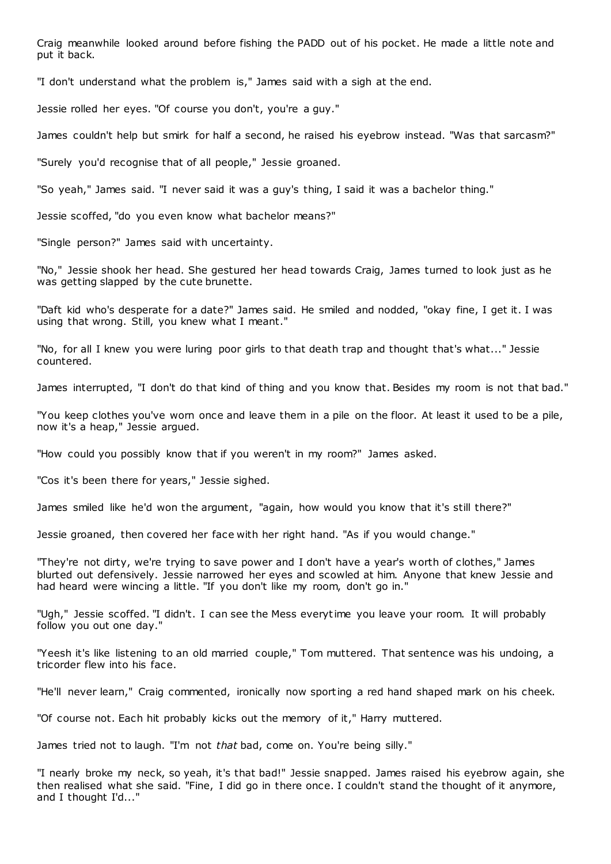Craig meanwhile looked around before fishing the PADD out of his pocket. He made a little note and put it back.

"I don't understand what the problem is," James said with a sigh at the end.

Jessie rolled her eyes. "Of course you don't, you're a guy."

James couldn't help but smirk for half a second, he raised his eyebrow instead. "Was that sarcasm?"

"Surely you'd recognise that of all people," Jessie groaned.

"So yeah," James said. "I never said it was a guy's thing, I said it was a bachelor thing."

Jessie scoffed, "do you even know what bachelor means?"

"Single person?" James said with uncertainty.

"No," Jessie shook her head. She gestured her head towards Craig, James turned to look just as he was getting slapped by the cute brunette.

"Daft kid who's desperate for a date?" James said. He smiled and nodded, "okay fine, I get it. I was using that wrong. Still, you knew what I meant."

"No, for all I knew you were luring poor girls to that death trap and thought that's what..." Jessie countered.

James interrupted, "I don't do that kind of thing and you know that. Besides my room is not that bad."

"You keep clothes you've worn once and leave them in a pile on the floor. At least it used to be a pile, now it's a heap," Jessie argued.

"How could you possibly know that if you weren't in my room?" James asked.

"Cos it's been there for years," Jessie sighed.

James smiled like he'd won the argument, "again, how would you know that it's still there?"

Jessie groaned, then covered her face with her right hand. "As if you would change."

"They're not dirty, we're trying to save power and I don't have a year's worth of clothes," James blurted out defensively. Jessie narrowed her eyes and scowled at him. Anyone that knew Jessie and had heard were wincing a little. "If you don't like my room, don't go in."

"Ugh," Jessie scoffed. "I didn't. I can see the Mess everytime you leave your room. It will probably follow you out one day."

"Yeesh it's like listening to an old married couple," Tom muttered. That sentence was his undoing, a tricorder flew into his face.

"He'll never learn," Craig commented, ironically now sporting a red hand shaped mark on his cheek.

"Of course not. Each hit probably kicks out the memory of it," Harry muttered.

James tried not to laugh. "I'm not *that* bad, come on. You're being silly."

"I nearly broke my neck, so yeah, it's that bad!" Jessie snapped. James raised his eyebrow again, she then realised what she said. "Fine, I did go in there once. I couldn't stand the thought of it anymore, and I thought I'd..."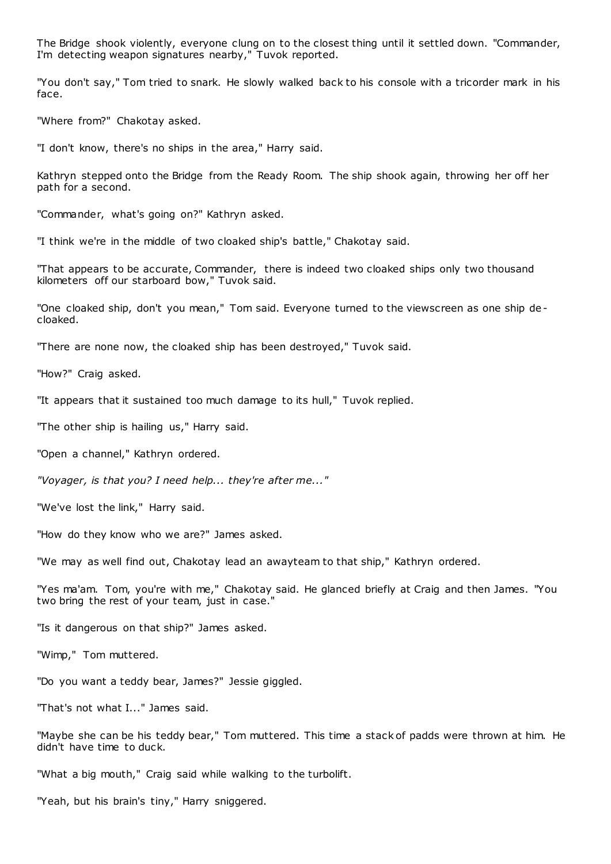The Bridge shook violently, everyone clung on to the closest thing until it settled down. "Commander, I'm detecting weapon signatures nearby," Tuvok reported.

"You don't say," Tom tried to snark. He slowly walked back to his console with a tricorder mark in his face.

"Where from?" Chakotay asked.

"I don't know, there's no ships in the area," Harry said.

Kathryn stepped onto the Bridge from the Ready Room. The ship shook again, throwing her off her path for a second.

"Commander, what's going on?" Kathryn asked.

"I think we're in the middle of two cloaked ship's battle," Chakotay said.

"That appears to be accurate, Commander, there is indeed two cloaked ships only two thousand kilometers off our starboard bow," Tuvok said.

"One cloaked ship, don't you mean," Tom said. Everyone turned to the viewscreen as one ship de cloaked.

"There are none now, the cloaked ship has been destroyed," Tuvok said.

"How?" Craig asked.

"It appears that it sustained too much damage to its hull," Tuvok replied.

"The other ship is hailing us," Harry said.

"Open a channel," Kathryn ordered.

*"Voyager, is that you? I need help... they're after me..."*

"We've lost the link," Harry said.

"How do they know who we are?" James asked.

"We may as well find out, Chakotay lead an awayteam to that ship," Kathryn ordered.

"Yes ma'am. Tom, you're with me," Chakotay said. He glanced briefly at Craig and then James. "You two bring the rest of your team, just in case."

"Is it dangerous on that ship?" James asked.

"Wimp," Tom muttered.

"Do you want a teddy bear, James?" Jessie giggled.

"That's not what I..." James said.

"Maybe she can be his teddy bear," Tom muttered. This time a stack of padds were thrown at him. He didn't have time to duck.

"What a big mouth," Craig said while walking to the turbolift.

"Yeah, but his brain's tiny," Harry sniggered.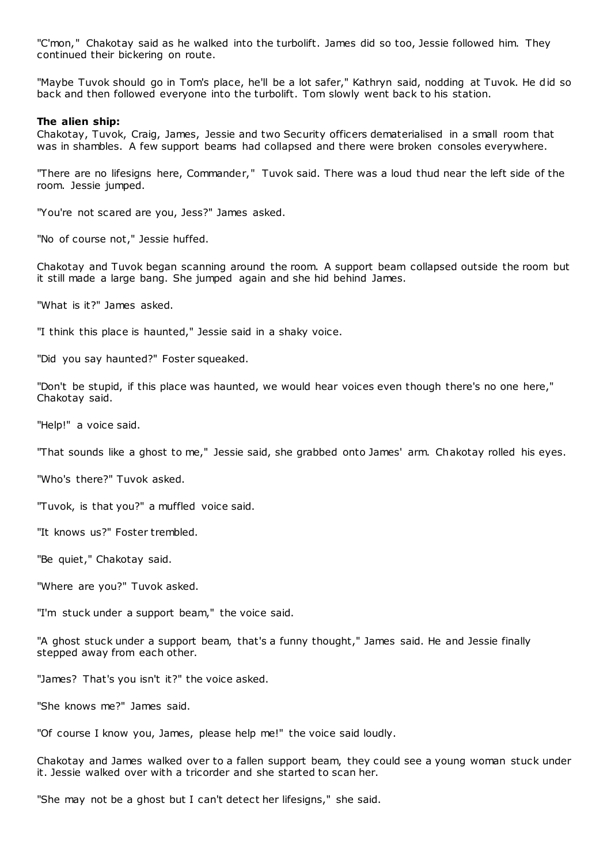"C'mon," Chakotay said as he walked into the turbolift. James did so too, Jessie followed him. They continued their bickering on route.

"Maybe Tuvok should go in Tom's place, he'll be a lot safer," Kathryn said, nodding at Tuvok. He did so back and then followed everyone into the turbolift. Tom slowly went back to his station.

#### **The alien ship:**

Chakotay, Tuvok, Craig, James, Jessie and two Security officers dematerialised in a small room that was in shambles. A few support beams had collapsed and there were broken consoles everywhere.

"There are no lifesigns here, Commander," Tuvok said. There was a loud thud near the left side of the room. Jessie jumped.

"You're not scared are you, Jess?" James asked.

"No of course not," Jessie huffed.

Chakotay and Tuvok began scanning around the room. A support beam collapsed outside the room but it still made a large bang. She jumped again and she hid behind James.

"What is it?" James asked.

"I think this place is haunted," Jessie said in a shaky voice.

"Did you say haunted?" Foster squeaked.

"Don't be stupid, if this place was haunted, we would hear voices even though there's no one here," Chakotay said.

"Help!" a voice said.

"That sounds like a ghost to me," Jessie said, she grabbed onto James' arm. Chakotay rolled his eyes.

"Who's there?" Tuvok asked.

"Tuvok, is that you?" a muffled voice said.

"It knows us?" Foster trembled.

"Be quiet," Chakotay said.

"Where are you?" Tuvok asked.

"I'm stuck under a support beam," the voice said.

"A ghost stuck under a support beam, that's a funny thought," James said. He and Jessie finally stepped away from each other.

"James? That's you isn't it?" the voice asked.

"She knows me?" James said.

"Of course I know you, James, please help me!" the voice said loudly.

Chakotay and James walked over to a fallen support beam, they could see a young woman stuck under it. Jessie walked over with a tricorder and she started to scan her.

"She may not be a ghost but I can't detect her lifesigns," she said.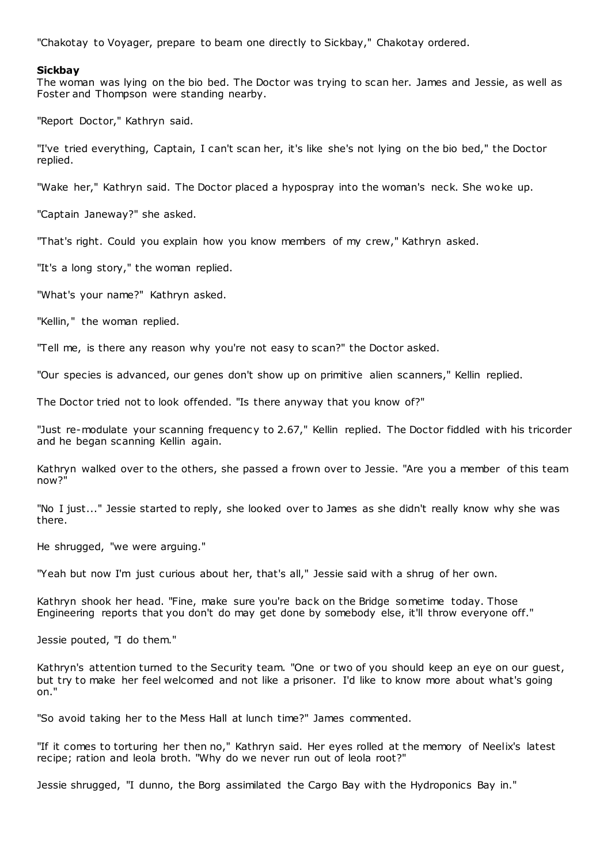"Chakotay to Voyager, prepare to beam one directly to Sickbay," Chakotay ordered.

#### **Sickbay**

The woman was lying on the bio bed. The Doctor was trying to scan her. James and Jessie, as well as Foster and Thompson were standing nearby.

"Report Doctor," Kathryn said.

"I've tried everything, Captain, I can't scan her, it's like she's not lying on the bio bed," the Doctor replied.

"Wake her," Kathryn said. The Doctor placed a hypospray into the woman's neck. She woke up.

"Captain Janeway?" she asked.

"That's right. Could you explain how you know members of my crew," Kathryn asked.

"It's a long story," the woman replied.

"What's your name?" Kathryn asked.

"Kellin," the woman replied.

"Tell me, is there any reason why you're not easy to scan?" the Doctor asked.

"Our species is advanced, our genes don't show up on primitive alien scanners," Kellin replied.

The Doctor tried not to look offended. "Is there anyway that you know of?"

"Just re-modulate your scanning frequency to 2.67," Kellin replied. The Doctor fiddled with his tricorder and he began scanning Kellin again.

Kathryn walked over to the others, she passed a frown over to Jessie. "Are you a member of this team now?"

"No I just..." Jessie started to reply, she looked over to James as she didn't really know why she was there.

He shrugged, "we were arguing."

"Yeah but now I'm just curious about her, that's all," Jessie said with a shrug of her own.

Kathryn shook her head. "Fine, make sure you're back on the Bridge sometime today. Those Engineering reports that you don't do may get done by somebody else, it'll throw everyone off."

Jessie pouted, "I do them."

Kathryn's attention turned to the Security team. "One or two of you should keep an eye on our guest, but try to make her feel welcomed and not like a prisoner. I'd like to know more about what's going on."

"So avoid taking her to the Mess Hall at lunch time?" James commented.

"If it comes to torturing her then no," Kathryn said. Her eyes rolled at the memory of Neelix's latest recipe; ration and leola broth. "Why do we never run out of leola root?"

Jessie shrugged, "I dunno, the Borg assimilated the Cargo Bay with the Hydroponics Bay in."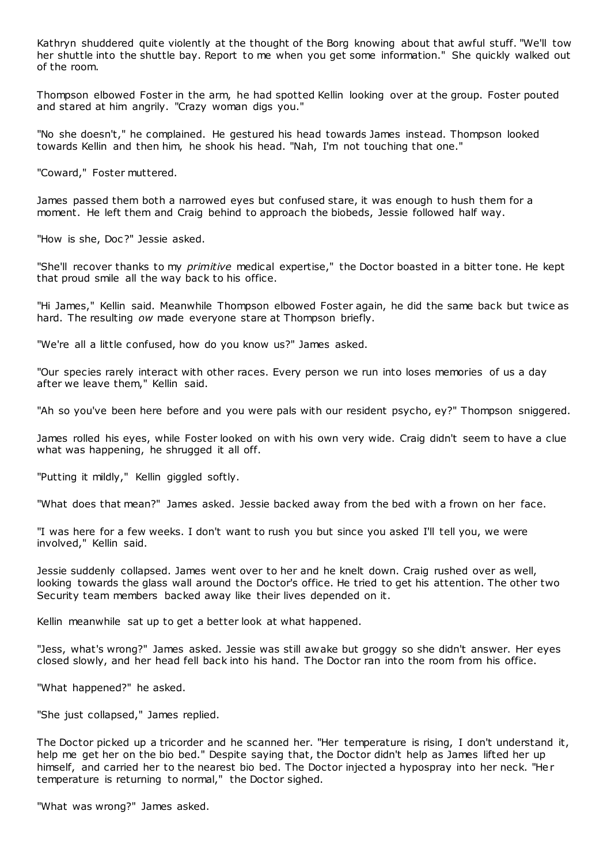Kathryn shuddered quite violently at the thought of the Borg knowing about that awful stuff. "We'll tow her shuttle into the shuttle bay. Report to me when you get some information." She quickly walked out of the room.

Thompson elbowed Foster in the arm, he had spotted Kellin looking over at the group. Foster pouted and stared at him angrily. "Crazy woman digs you."

"No she doesn't," he complained. He gestured his head towards James instead. Thompson looked towards Kellin and then him, he shook his head. "Nah, I'm not touching that one."

"Coward," Foster muttered.

James passed them both a narrowed eyes but confused stare, it was enough to hush them for a moment. He left them and Craig behind to approach the biobeds, Jessie followed half way.

"How is she, Doc?" Jessie asked.

"She'll recover thanks to my *primitive* medical expertise," the Doctor boasted in a bitter tone. He kept that proud smile all the way back to his office.

"Hi James," Kellin said. Meanwhile Thompson elbowed Foster again, he did the same back but twice as hard. The resulting *ow* made everyone stare at Thompson briefly.

"We're all a little confused, how do you know us?" James asked.

"Our species rarely interact with other races. Every person we run into loses memories of us a day after we leave them," Kellin said.

"Ah so you've been here before and you were pals with our resident psycho, ey?" Thompson sniggered.

James rolled his eyes, while Foster looked on with his own very wide. Craig didn't seem to have a clue what was happening, he shrugged it all off.

"Putting it mildly," Kellin giggled softly.

"What does that mean?" James asked. Jessie backed away from the bed with a frown on her face.

"I was here for a few weeks. I don't want to rush you but since you asked I'll tell you, we were involved," Kellin said.

Jessie suddenly collapsed. James went over to her and he knelt down. Craig rushed over as well, looking towards the glass wall around the Doctor's office. He tried to get his attention. The other two Security team members backed away like their lives depended on it.

Kellin meanwhile sat up to get a better look at what happened.

"Jess, what's wrong?" James asked. Jessie was still awake but groggy so she didn't answer. Her eyes closed slowly, and her head fell back into his hand. The Doctor ran into the room from his office.

"What happened?" he asked.

"She just collapsed," James replied.

The Doctor picked up a tricorder and he scanned her. "Her temperature is rising, I don't understand it, help me get her on the bio bed." Despite saying that, the Doctor didn't help as James lifted her up himself, and carried her to the nearest bio bed. The Doctor injected a hypospray into her neck. "Her temperature is returning to normal," the Doctor sighed.

"What was wrong?" James asked.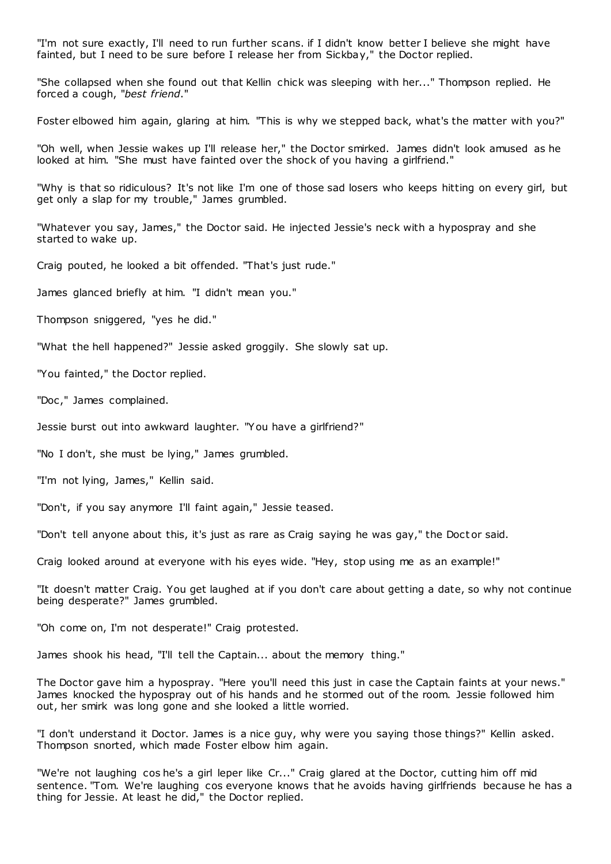"I'm not sure exactly, I'll need to run further scans. if I didn't know better I believe she might have fainted, but I need to be sure before I release her from Sickbay," the Doctor replied.

"She collapsed when she found out that Kellin chick was sleeping with her..." Thompson replied. He forced a cough, "*best friend*."

Foster elbowed him again, glaring at him. "This is why we stepped back, what's the matter with you?"

"Oh well, when Jessie wakes up I'll release her," the Doctor smirked. James didn't look amused as he looked at him. "She must have fainted over the shock of you having a girlfriend."

"Why is that so ridiculous? It's not like I'm one of those sad losers who keeps hitting on every girl, but get only a slap for my trouble," James grumbled.

"Whatever you say, James," the Doctor said. He injected Jessie's neck with a hypospray and she started to wake up.

Craig pouted, he looked a bit offended. "That's just rude."

James glanced briefly at him. "I didn't mean you."

Thompson sniggered, "yes he did."

"What the hell happened?" Jessie asked groggily. She slowly sat up.

"You fainted," the Doctor replied.

"Doc ," James complained.

Jessie burst out into awkward laughter. "You have a girlfriend?"

"No I don't, she must be lying," James grumbled.

"I'm not lying, James," Kellin said.

"Don't, if you say anymore I'll faint again," Jessie teased.

"Don't tell anyone about this, it's just as rare as Craig saying he was gay," the Doct or said.

Craig looked around at everyone with his eyes wide. "Hey, stop using me as an example!"

"It doesn't matter Craig. You get laughed at if you don't care about getting a date, so why not continue being desperate?" James grumbled.

"Oh come on, I'm not desperate!" Craig protested.

James shook his head, "I'll tell the Captain... about the memory thing."

The Doctor gave him a hypospray. "Here you'll need this just in case the Captain faints at your news." James knocked the hypospray out of his hands and he stormed out of the room. Jessie followed him out, her smirk was long gone and she looked a little worried.

"I don't understand it Doctor. James is a nice guy, why were you saying those things?" Kellin asked. Thompson snorted, which made Foster elbow him again.

"We're not laughing cos he's a girl leper like Cr..." Craig glared at the Doctor, cutting him off mid sentence. "Tom. We're laughing cos everyone knows that he avoids having girlfriends because he has a thing for Jessie. At least he did," the Doctor replied.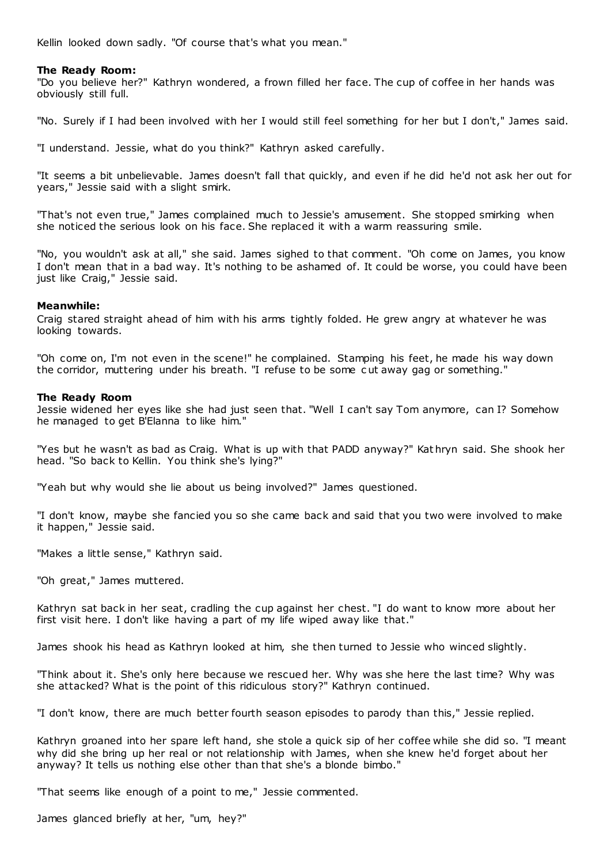Kellin looked down sadly. "Of course that's what you mean."

# **The Ready Room:**

"Do you believe her?" Kathryn wondered, a frown filled her face. The cup of coffee in her hands was obviously still full.

"No. Surely if I had been involved with her I would still feel something for her but I don't," James said.

"I understand. Jessie, what do you think?" Kathryn asked carefully.

"It seems a bit unbelievable. James doesn't fall that quickly, and even if he did he'd not ask her out for years," Jessie said with a slight smirk.

"That's not even true," James complained much to Jessie's amusement. She stopped smirking when she noticed the serious look on his face. She replaced it with a warm reassuring smile.

"No, you wouldn't ask at all," she said. James sighed to that comment. "Oh come on James, you know I don't mean that in a bad way. It's nothing to be ashamed of. It could be worse, you could have been just like Craig," Jessie said.

## **Meanwhile:**

Craig stared straight ahead of him with his arms tightly folded. He grew angry at whatever he was looking towards.

"Oh come on, I'm not even in the scene!" he complained. Stamping his feet, he made his way down the corridor, muttering under his breath. "I refuse to be some c ut away gag or something."

## **The Ready Room**

Jessie widened her eyes like she had just seen that. "Well I can't say Tom anymore, can I? Somehow he managed to get B'Elanna to like him."

"Yes but he wasn't as bad as Craig. What is up with that PADD anyway?" Kat hryn said. She shook her head. "So back to Kellin. You think she's lying?"

"Yeah but why would she lie about us being involved?" James questioned.

"I don't know, maybe she fancied you so she came back and said that you two were involved to make it happen," Jessie said.

"Makes a little sense," Kathryn said.

"Oh great," James muttered.

Kathryn sat back in her seat, cradling the cup against her chest. "I do want to know more about her first visit here. I don't like having a part of my life wiped away like that."

James shook his head as Kathryn looked at him, she then turned to Jessie who winced slightly.

"Think about it. She's only here because we rescued her. Why was she here the last time? Why was she attacked? What is the point of this ridiculous story?" Kathryn continued.

"I don't know, there are much better fourth season episodes to parody than this," Jessie replied.

Kathryn groaned into her spare left hand, she stole a quick sip of her coffee while she did so. "I meant why did she bring up her real or not relationship with James, when she knew he'd forget about her anyway? It tells us nothing else other than that she's a blonde bimbo."

"That seems like enough of a point to me," Jessie commented.

James glanced briefly at her, "um, hey?"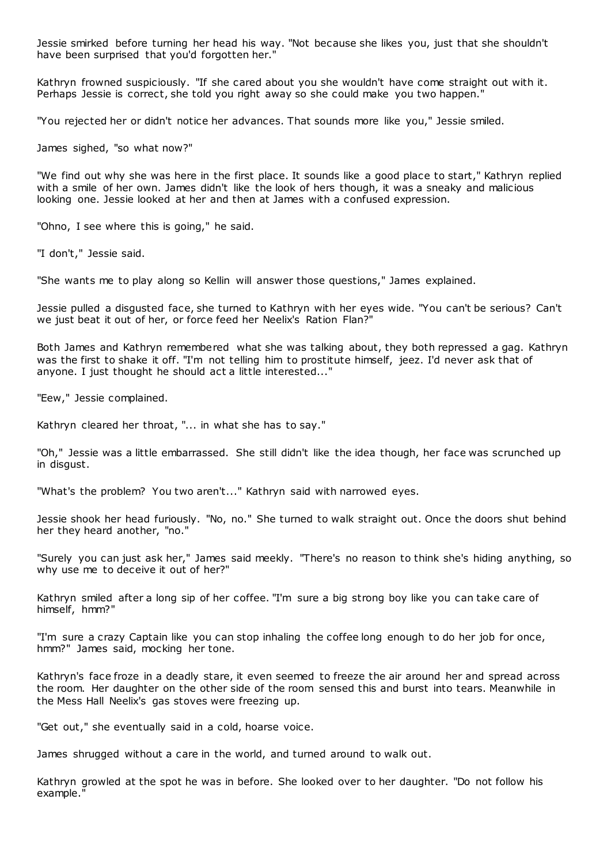Jessie smirked before turning her head his way. "Not because she likes you, just that she shouldn't have been surprised that you'd forgotten her."

Kathryn frowned suspiciously. "If she cared about you she wouldn't have come straight out with it. Perhaps Jessie is correct, she told you right away so she could make you two happen."

"You rejected her or didn't notice her advances. That sounds more like you," Jessie smiled.

James sighed, "so what now?"

"We find out why she was here in the first place. It sounds like a good place to start," Kathryn replied with a smile of her own. James didn't like the look of hers though, it was a sneaky and malicious looking one. Jessie looked at her and then at James with a confused expression.

"Ohno, I see where this is going," he said.

"I don't," Jessie said.

"She wants me to play along so Kellin will answer those questions," James explained.

Jessie pulled a disgusted face, she turned to Kathryn with her eyes wide. "You can't be serious? Can't we just beat it out of her, or force feed her Neelix's Ration Flan?"

Both James and Kathryn remembered what she was talking about, they both repressed a gag. Kathryn was the first to shake it off. "I'm not telling him to prostitute himself, jeez. I'd never ask that of anyone. I just thought he should act a little interested..."

"Eew," Jessie complained.

Kathryn cleared her throat, "... in what she has to say."

"Oh," Jessie was a little embarrassed. She still didn't like the idea though, her face was scrunched up in disgust.

"What's the problem? You two aren't..." Kathryn said with narrowed eyes.

Jessie shook her head furiously. "No, no." She turned to walk straight out. Once the doors shut behind her they heard another, "no."

"Surely you can just ask her," James said meekly. "There's no reason to think she's hiding anything, so why use me to deceive it out of her?"

Kathryn smiled after a long sip of her coffee. "I'm sure a big strong boy like you can take care of himself, hmm?"

"I'm sure a crazy Captain like you can stop inhaling the coffee long enough to do her job for once, hmm?" James said, mocking her tone.

Kathryn's face froze in a deadly stare, it even seemed to freeze the air around her and spread across the room. Her daughter on the other side of the room sensed this and burst into tears. Meanwhile in the Mess Hall Neelix's gas stoves were freezing up.

"Get out," she eventually said in a cold, hoarse voice.

James shrugged without a care in the world, and turned around to walk out.

Kathryn growled at the spot he was in before. She looked over to her daughter. "Do not follow his example."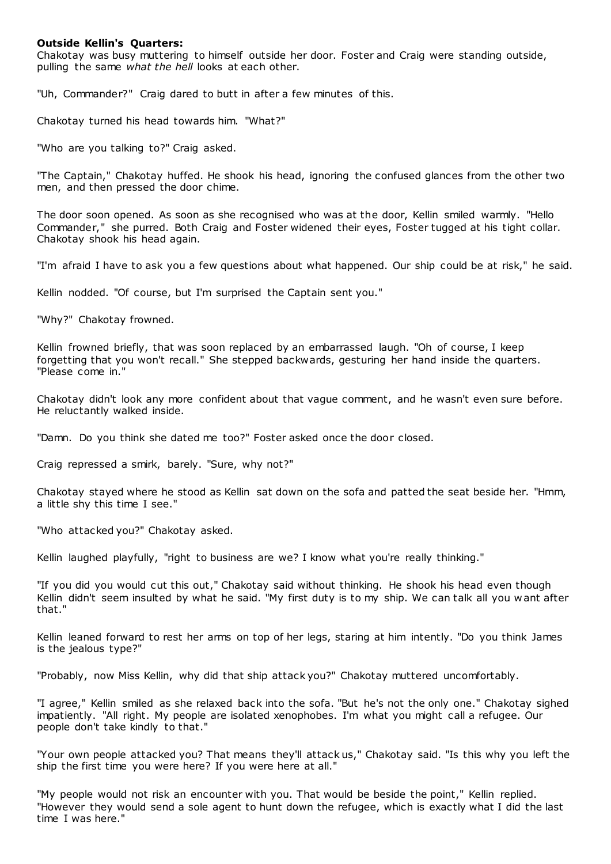#### **Outside Kellin's Quarters:**

Chakotay was busy muttering to himself outside her door. Foster and Craig were standing outside, pulling the same *what the hell* looks at each other.

"Uh, Commander?" Craig dared to butt in after a few minutes of this.

Chakotay turned his head towards him. "What?"

"Who are you talking to?" Craig asked.

"The Captain," Chakotay huffed. He shook his head, ignoring the confused glances from the other two men, and then pressed the door chime.

The door soon opened. As soon as she recognised who was at the door, Kellin smiled warmly. "Hello Commander," she purred. Both Craig and Foster widened their eyes, Foster tugged at his tight collar. Chakotay shook his head again.

"I'm afraid I have to ask you a few questions about what happened. Our ship could be at risk," he said.

Kellin nodded. "Of course, but I'm surprised the Captain sent you."

"Why?" Chakotay frowned.

Kellin frowned briefly, that was soon replaced by an embarrassed laugh. "Oh of course, I keep forgetting that you won't recall." She stepped backwards, gesturing her hand inside the quarters. "Please come in."

Chakotay didn't look any more confident about that vague comment, and he wasn't even sure before. He reluctantly walked inside.

"Damn. Do you think she dated me too?" Foster asked once the door closed.

Craig repressed a smirk, barely. "Sure, why not?"

Chakotay stayed where he stood as Kellin sat down on the sofa and patted the seat beside her. "Hmm, a little shy this time I see."

"Who attacked you?" Chakotay asked.

Kellin laughed playfully, "right to business are we? I know what you're really thinking."

"If you did you would cut this out," Chakotay said without thinking. He shook his head even though Kellin didn't seem insulted by what he said. "My first duty is to my ship. We can talk all you w ant after that."

Kellin leaned forward to rest her arms on top of her legs, staring at him intently. "Do you think James is the jealous type?"

"Probably, now Miss Kellin, why did that ship attack you?" Chakotay muttered uncomfortably.

"I agree," Kellin smiled as she relaxed back into the sofa. "But he's not the only one." Chakotay sighed impatiently. "All right. My people are isolated xenophobes. I'm what you might call a refugee. Our people don't take kindly to that."

"Your own people attacked you? That means they'll attack us," Chakotay said. "Is this why you left the ship the first time you were here? If you were here at all."

"My people would not risk an encounter with you. That would be beside the point," Kellin replied. "However they would send a sole agent to hunt down the refugee, which is exactly what I did the last time I was here."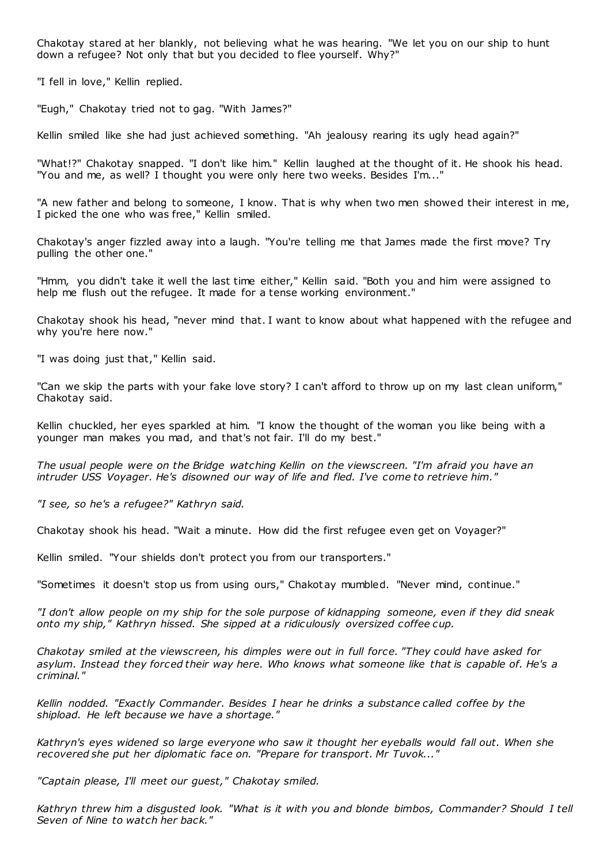Chakotay stared at her blankly, not believing what he was hearing. "We let you on our ship to hunt down a refugee? Not only that but you decided to flee yourself. Why?"

"I fell in love," Kellin replied.

"Eugh," Chakotay tried not to gag. "With James?"

Kellin smiled like she had just achieved something. "Ah jealousy rearing its ugly head again?"

"What!?" Chakotay snapped. "I don't like him." Kellin laughed at the thought of it. He shook his head. "You and me, as well? I thought you were only here two weeks. Besides I'm..."

"A new father and belong to someone, I know. That is why when two men showed their interest in me, I picked the one who was free," Kellin smiled.

Chakotay's anger fizzled away into a laugh. "You're telling me that James made the first move? Try pulling the other one."

"Hmm, you didn't take it well the last time either," Kellin said. "Both you and him were assigned to help me flush out the refugee. It made for a tense working environment."

Chakotay shook his head, "never mind that. I want to know about what happened with the refugee and why you're here now."

"I was doing just that," Kellin said.

"Can we skip the parts with your fake love story? I can't afford to throw up on my last clean uniform," Chakotay said.

Kellin chuckled, her eyes sparkled at him. "I know the thought of the woman you like being with a younger man makes you mad, and that's not fair. I'll do my best."

*The usual people were on the Bridge watching Kellin on the viewscreen. "I'm afraid you have an intruder USS Voyager. He's disowned our way of life and fled. I've come to retrieve him."*

*"I see, so he's a refugee?" Kathryn said.*

Chakotay shook his head. "Wait a minute. How did the first refugee even get on Voyager?"

Kellin smiled. "Your shields don't protect you from our transporters."

"Sometimes it doesn't stop us from using ours," Chakotay mumbled. "Never mind, continue."

*"I don't allow people on my ship for the sole purpose of kidnapping someone, even if they did sneak onto my ship," Kathryn hissed. She sipped at a ridiculously oversized coffee cup.*

*Chakotay smiled at the viewscreen, his dimples were out in full force. "They could have asked for asylum. Instead they forced their way here. Who knows what someone like that is capable of. He's a criminal."*

*Kellin nodded. "Exactly Commander. Besides I hear he drinks a substance called coffee by the shipload. He left because we have a shortage."*

*Kathryn's eyes widened so large everyone who saw it thought her eyeballs would fall out. When she recovered she put her diplomatic face on. "Prepare for transport. Mr Tuvok..."*

*"Captain please, I'll meet our guest," Chakotay smiled.*

*Kathryn threw him a disgusted look. "What is it with you and blonde bimbos, Commander? Should I tell Seven of Nine to watch her back."*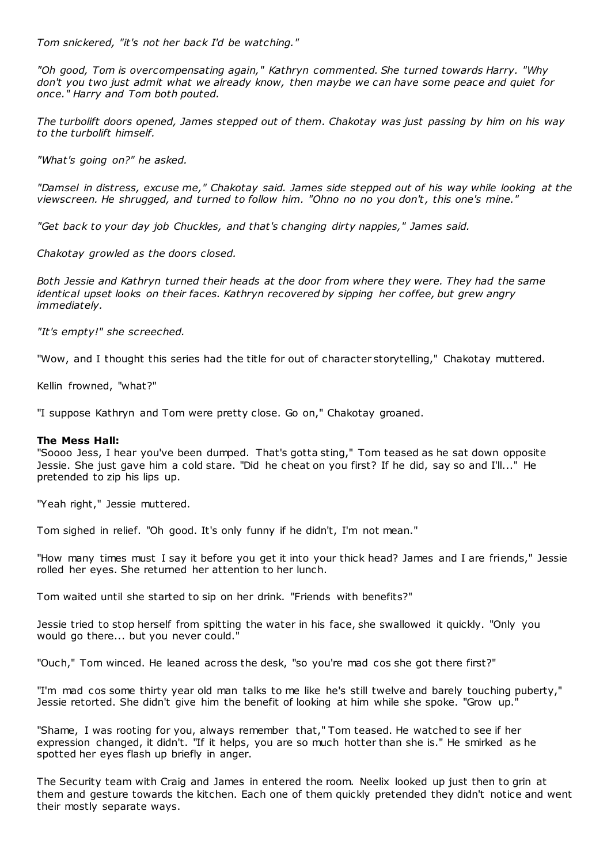*Tom snickered, "it's not her back I'd be watching."*

*"Oh good, Tom is overcompensating again," Kathryn commented. She turned towards Harry. "Why don't you two just admit what we already know, then maybe we can have some peace and quiet for once." Harry and Tom both pouted.*

*The turbolift doors opened, James stepped out of them. Chakotay was just passing by him on his way to the turbolift himself.*

*"What's going on?" he asked.*

*"Damsel in distress, excuse me," Chakotay said. James side stepped out of his way while looking at the viewscreen. He shrugged, and turned to follow him. "Ohno no no you don't, this one's mine."*

*"Get back to your day job Chuckles, and that's changing dirty nappies," James said.*

*Chakotay growled as the doors closed.*

*Both Jessie and Kathryn turned their heads at the door from where they were. They had the same identical upset looks on their faces. Kathryn recovered by sipping her coffee, but grew angry immediately.*

*"It's empty!" she screeched.*

"Wow, and I thought this series had the title for out of character storytelling," Chakotay muttered.

Kellin frowned, "what?"

"I suppose Kathryn and Tom were pretty close. Go on," Chakotay groaned.

## **The Mess Hall:**

"Soooo Jess, I hear you've been dumped. That's gotta sting," Tom teased as he sat down opposite Jessie. She just gave him a cold stare. "Did he cheat on you first? If he did, say so and I'll..." He pretended to zip his lips up.

"Yeah right," Jessie muttered.

Tom sighed in relief. "Oh good. It's only funny if he didn't, I'm not mean."

"How many times must I say it before you get it into your thick head? James and I are friends," Jessie rolled her eyes. She returned her attention to her lunch.

Tom waited until she started to sip on her drink. "Friends with benefits?"

Jessie tried to stop herself from spitting the water in his face, she swallowed it quickly. "Only you would go there... but you never could."

"Ouch," Tom winced. He leaned across the desk, "so you're mad cos she got there first?"

"I'm mad cos some thirty year old man talks to me like he's still twelve and barely touching puberty," Jessie retorted. She didn't give him the benefit of looking at him while she spoke. "Grow up."

"Shame, I was rooting for you, always remember that," Tom teased. He watched to see if her expression changed, it didn't. "If it helps, you are so much hotter than she is." He smirked as he spotted her eyes flash up briefly in anger.

The Security team with Craig and James in entered the room. Neelix looked up just then to grin at them and gesture towards the kitchen. Each one of them quickly pretended they didn't notice and went their mostly separate ways.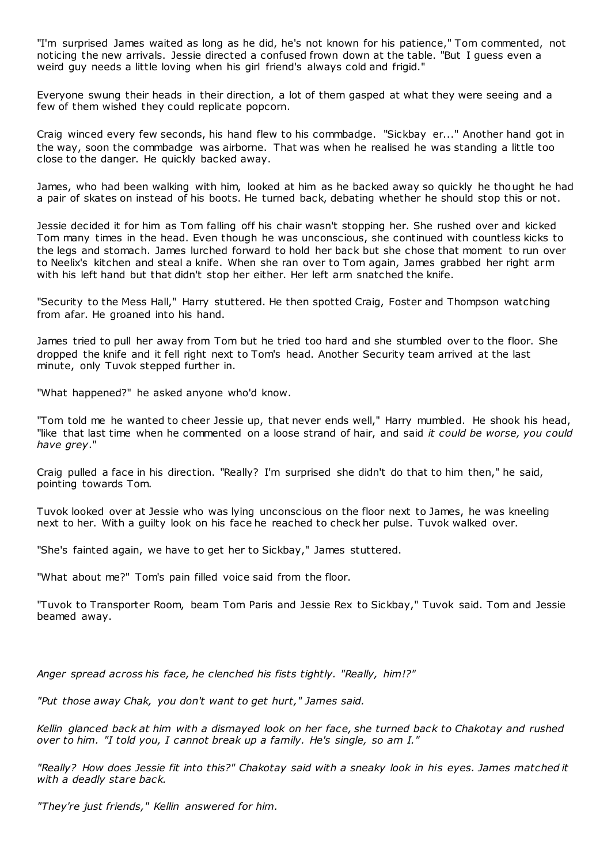"I'm surprised James waited as long as he did, he's not known for his patience," Tom commented, not noticing the new arrivals. Jessie directed a confused frown down at the table. "But I guess even a weird guy needs a little loving when his girl friend's always cold and frigid."

Everyone swung their heads in their direction, a lot of them gasped at what they were seeing and a few of them wished they could replicate popcorn.

Craig winced every few seconds, his hand flew to his commbadge. "Sickbay er..." Another hand got in the way, soon the commbadge was airborne. That was when he realised he was standing a little too close to the danger. He quickly backed away.

James, who had been walking with him, looked at him as he backed away so quickly he thought he had a pair of skates on instead of his boots. He turned back, debating whether he should stop this or not.

Jessie decided it for him as Tom falling off his chair wasn't stopping her. She rushed over and kicked Tom many times in the head. Even though he was unconscious, she continued with countless kicks to the legs and stomach. James lurched forward to hold her back but she chose that moment to run over to Neelix's kitchen and steal a knife. When she ran over to Tom again, James grabbed her right arm with his left hand but that didn't stop her either. Her left arm snatched the knife.

"Security to the Mess Hall," Harry stuttered. He then spotted Craig, Foster and Thompson watching from afar. He groaned into his hand.

James tried to pull her away from Tom but he tried too hard and she stumbled over to the floor. She dropped the knife and it fell right next to Tom's head. Another Security team arrived at the last minute, only Tuvok stepped further in.

"What happened?" he asked anyone who'd know.

"Tom told me he wanted to cheer Jessie up, that never ends well," Harry mumbled. He shook his head, "like that last time when he commented on a loose strand of hair, and said *it could be worse, you could have grey*."

Craig pulled a face in his direction. "Really? I'm surprised she didn't do that to him then," he said, pointing towards Tom.

Tuvok looked over at Jessie who was lying unconscious on the floor next to James, he was kneeling next to her. With a guilty look on his face he reached to check her pulse. Tuvok walked over.

"She's fainted again, we have to get her to Sickbay," James stuttered.

"What about me?" Tom's pain filled voice said from the floor.

"Tuvok to Transporter Room, beam Tom Paris and Jessie Rex to Sickbay," Tuvok said. Tom and Jessie beamed away.

*Anger spread across his face, he clenched his fists tightly. "Really, him!?"*

*"Put those away Chak, you don't want to get hurt," James said.*

*Kellin glanced back at him with a dismayed look on her face, she turned back to Chakotay and rushed over to him. "I told you, I cannot break up a family. He's single, so am I."*

*"Really? How does Jessie fit into this?" Chakotay said with a sneaky look in his eyes. James matched it with a deadly stare back.*

*"They're just friends," Kellin answered for him.*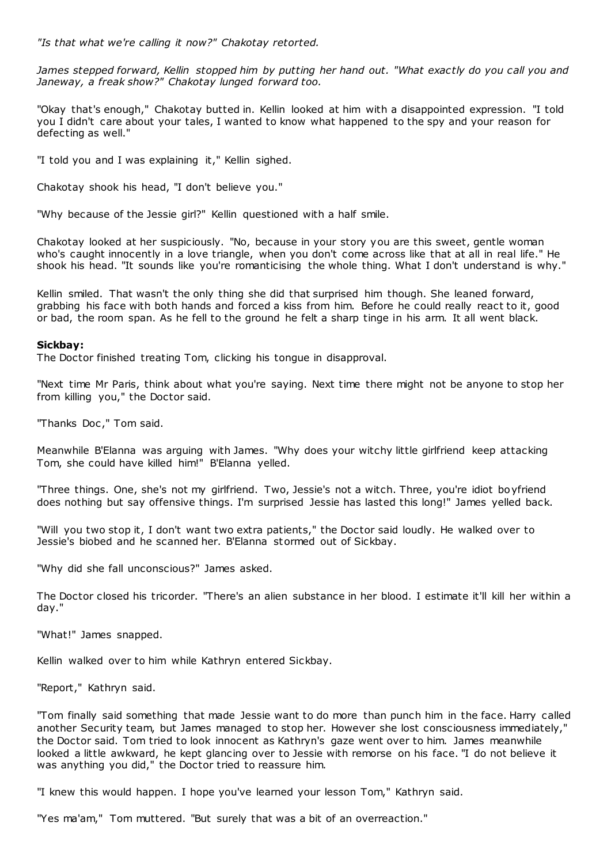*James stepped forward, Kellin stopped him by putting her hand out. "What exactly do you call you and Janeway, a freak show?" Chakotay lunged forward too.*

"Okay that's enough," Chakotay butted in. Kellin looked at him with a disappointed expression. "I told you I didn't care about your tales, I wanted to know what happened to the spy and your reason for defecting as well."

"I told you and I was explaining it," Kellin sighed.

Chakotay shook his head, "I don't believe you."

"Why because of the Jessie girl?" Kellin questioned with a half smile.

Chakotay looked at her suspiciously. "No, because in your story you are this sweet, gentle woman who's caught innocently in a love triangle, when you don't come across like that at all in real life." He shook his head. "It sounds like you're romanticising the whole thing. What I don't understand is why."

Kellin smiled. That wasn't the only thing she did that surprised him though. She leaned forward, grabbing his face with both hands and forced a kiss from him. Before he could really react to it, good or bad, the room span. As he fell to the ground he felt a sharp tinge in his arm. It all went black.

## **Sickbay:**

The Doctor finished treating Tom, clicking his tongue in disapproval.

"Next time Mr Paris, think about what you're saying. Next time there might not be anyone to stop her from killing you," the Doctor said.

"Thanks Doc," Tom said.

Meanwhile B'Elanna was arguing with James. "Why does your witchy little girlfriend keep attacking Tom, she could have killed him!" B'Elanna yelled.

"Three things. One, she's not my girlfriend. Two, Jessie's not a witch. Three, you're idiot boyfriend does nothing but say offensive things. I'm surprised Jessie has lasted this long!" James yelled back.

"Will you two stop it, I don't want two extra patients," the Doctor said loudly. He walked over to Jessie's biobed and he scanned her. B'Elanna stormed out of Sickbay.

"Why did she fall unconscious?" James asked.

The Doctor closed his tricorder. "There's an alien substance in her blood. I estimate it'll kill her within a day."

"What!" James snapped.

Kellin walked over to him while Kathryn entered Sickbay.

"Report," Kathryn said.

"Tom finally said something that made Jessie want to do more than punch him in the face. Harry called another Security team, but James managed to stop her. However she lost consciousness immediately," the Doctor said. Tom tried to look innocent as Kathryn's gaze went over to him. James meanwhile looked a little awkward, he kept glancing over to Jessie with remorse on his face. "I do not believe it was anything you did," the Doctor tried to reassure him.

"I knew this would happen. I hope you've learned your lesson Tom," Kathryn said.

"Yes ma'am," Tom muttered. "But surely that was a bit of an overreaction."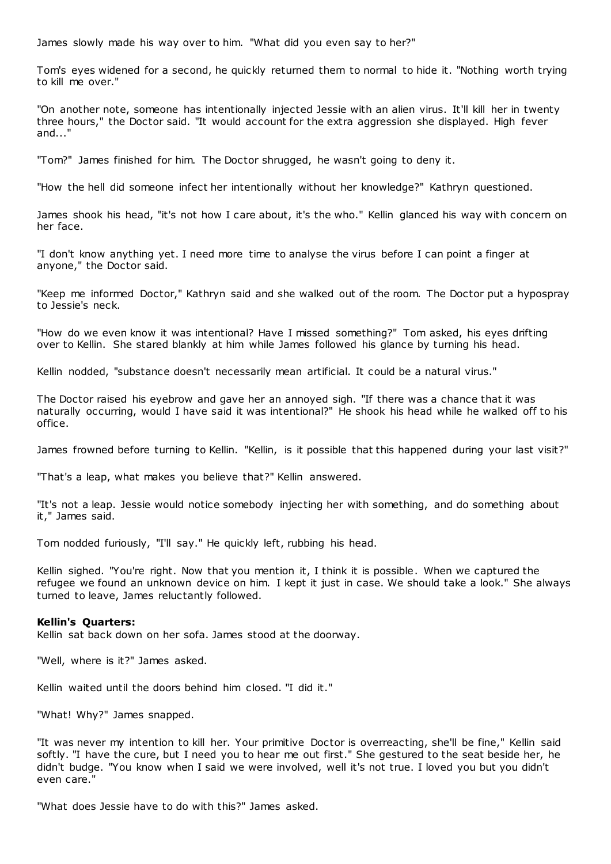James slowly made his way over to him. "What did you even say to her?"

Tom's eyes widened for a second, he quickly returned them to normal to hide it. "Nothing worth trying to kill me over."

"On another note, someone has intentionally injected Jessie with an alien virus. It'll kill her in twenty three hours," the Doctor said. "It would account for the extra aggression she displayed. High fever and..."

"Tom?" James finished for him. The Doctor shrugged, he wasn't going to deny it.

"How the hell did someone infect her intentionally without her knowledge?" Kathryn questioned.

James shook his head, "it's not how I care about, it's the who." Kellin glanced his way with concern on her face.

"I don't know anything yet. I need more time to analyse the virus before I can point a finger at anyone," the Doctor said.

"Keep me informed Doctor," Kathryn said and she walked out of the room. The Doctor put a hypospray to Jessie's neck.

"How do we even know it was intentional? Have I missed something?" Tom asked, his eyes drifting over to Kellin. She stared blankly at him while James followed his glance by turning his head.

Kellin nodded, "substance doesn't necessarily mean artificial. It could be a natural virus."

The Doctor raised his eyebrow and gave her an annoyed sigh. "If there was a chance that it was naturally occurring, would I have said it was intentional?" He shook his head while he walked off to his office.

James frowned before turning to Kellin. "Kellin, is it possible that this happened during your last visit?"

"That's a leap, what makes you believe that?" Kellin answered.

"It's not a leap. Jessie would notice somebody injecting her with something, and do something about it," James said.

Tom nodded furiously, "I'll say." He quickly left, rubbing his head.

Kellin sighed. "You're right. Now that you mention it, I think it is possible. When we captured the refugee we found an unknown device on him. I kept it just in case. We should take a look." She always turned to leave, James reluctantly followed.

#### **Kellin's Quarters:**

Kellin sat back down on her sofa. James stood at the doorway.

"Well, where is it?" James asked.

Kellin waited until the doors behind him closed. "I did it."

"What! Why?" James snapped.

"It was never my intention to kill her. Your primitive Doctor is overreacting, she'll be fine," Kellin said softly. "I have the cure, but I need you to hear me out first." She gestured to the seat beside her, he didn't budge. "You know when I said we were involved, well it's not true. I loved you but you didn't even care."

"What does Jessie have to do with this?" James asked.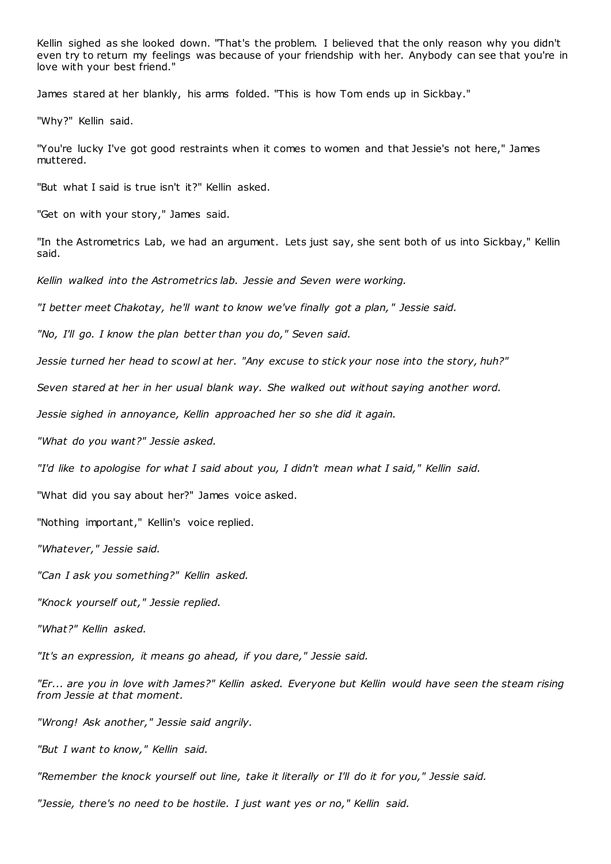Kellin sighed as she looked down. "That's the problem. I believed that the only reason why you didn't even try to return my feelings was because of your friendship with her. Anybody can see that you're in love with your best friend."

James stared at her blankly, his arms folded. "This is how Tom ends up in Sickbay."

"Why?" Kellin said.

"You're lucky I've got good restraints when it comes to women and that Jessie's not here," James muttered.

"But what I said is true isn't it?" Kellin asked.

"Get on with your story," James said.

"In the Astrometrics Lab, we had an argument. Lets just say, she sent both of us into Sickbay," Kellin said.

*Kellin walked into the Astrometrics lab. Jessie and Seven were working.*

*"I better meet Chakotay, he'll want to know we've finally got a plan," Jessie said.*

*"No, I'll go. I know the plan better than you do," Seven said.*

*Jessie turned her head to scowl at her. "Any excuse to stick your nose into the story, huh?"*

*Seven stared at her in her usual blank way. She walked out without saying another word.*

*Jessie sighed in annoyance, Kellin approached her so she did it again.*

*"What do you want?" Jessie asked.*

*"I'd like to apologise for what I said about you, I didn't mean what I said," Kellin said.*

"What did you say about her?" James voice asked.

"Nothing important," Kellin's voice replied.

*"Whatever," Jessie said.*

*"Can I ask you something?" Kellin asked.*

*"Knock yourself out," Jessie replied.*

*"What?" Kellin asked.*

*"It's an expression, it means go ahead, if you dare," Jessie said.*

*"Er... are you in love with James?" Kellin asked. Everyone but Kellin would have seen the steam rising from Jessie at that moment.*

*"Wrong! Ask another," Jessie said angrily.*

*"But I want to know," Kellin said.*

*"Remember the knock yourself out line, take it literally or I'll do it for you," Jessie said.*

*"Jessie, there's no need to be hostile. I just want yes or no," Kellin said.*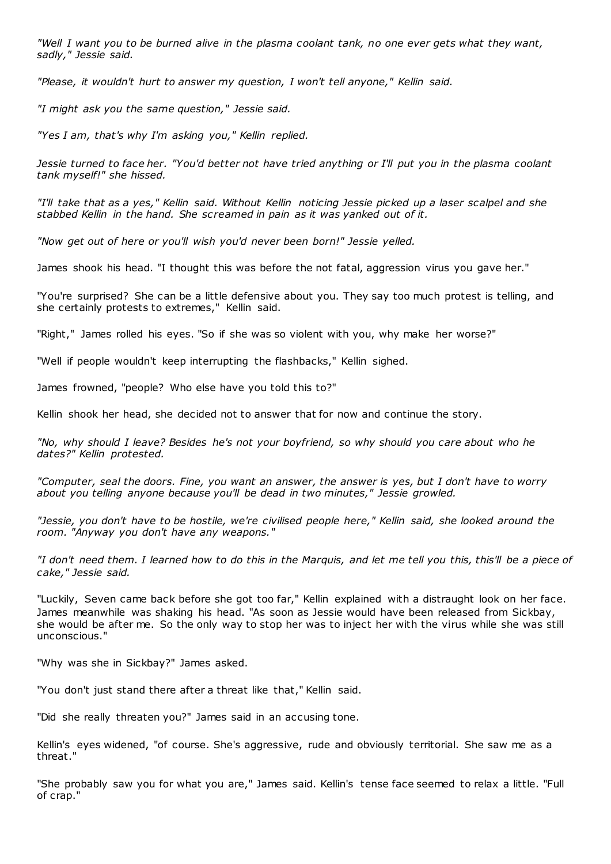*"Well I want you to be burned alive in the plasma coolant tank, no one ever gets what they want, sadly," Jessie said.*

*"Please, it wouldn't hurt to answer my question, I won't tell anyone," Kellin said.*

*"I might ask you the same question," Jessie said.*

*"Yes I am, that's why I'm asking you," Kellin replied.*

*Jessie turned to face her. "You'd better not have tried anything or I'll put you in the plasma coolant tank myself!" she hissed.*

*"I'll take that as a yes," Kellin said. Without Kellin noticing Jessie picked up a laser scalpel and she stabbed Kellin in the hand. She screamed in pain as it was yanked out of it.*

*"Now get out of here or you'll wish you'd never been born!" Jessie yelled.*

James shook his head. "I thought this was before the not fatal, aggression virus you gave her."

"You're surprised? She can be a little defensive about you. They say too much protest is telling, and she certainly protests to extremes," Kellin said.

"Right," James rolled his eyes. "So if she was so violent with you, why make her worse?"

"Well if people wouldn't keep interrupting the flashbacks," Kellin sighed.

James frowned, "people? Who else have you told this to?"

Kellin shook her head, she decided not to answer that for now and continue the story.

*"No, why should I leave? Besides he's not your boyfriend, so why should you care about who he dates?" Kellin protested.*

*"Computer, seal the doors. Fine, you want an answer, the answer is yes, but I don't have to worry about you telling anyone because you'll be dead in two minutes," Jessie growled.*

*"Jessie, you don't have to be hostile, we're civilised people here," Kellin said, she looked around the room. "Anyway you don't have any weapons."*

*"I don't need them. I learned how to do this in the Marquis, and let me tell you this, this'll be a piece of cake," Jessie said.*

"Luckily, Seven came back before she got too far," Kellin explained with a distraught look on her face. James meanwhile was shaking his head. "As soon as Jessie would have been released from Sickbay, she would be after me. So the only way to stop her was to inject her with the virus while she was still unconscious."

"Why was she in Sickbay?" James asked.

"You don't just stand there after a threat like that," Kellin said.

"Did she really threaten you?" James said in an accusing tone.

Kellin's eyes widened, "of course. She's aggressive, rude and obviously territorial. She saw me as a threat."

"She probably saw you for what you are," James said. Kellin's tense face seemed to relax a little. "Full of crap."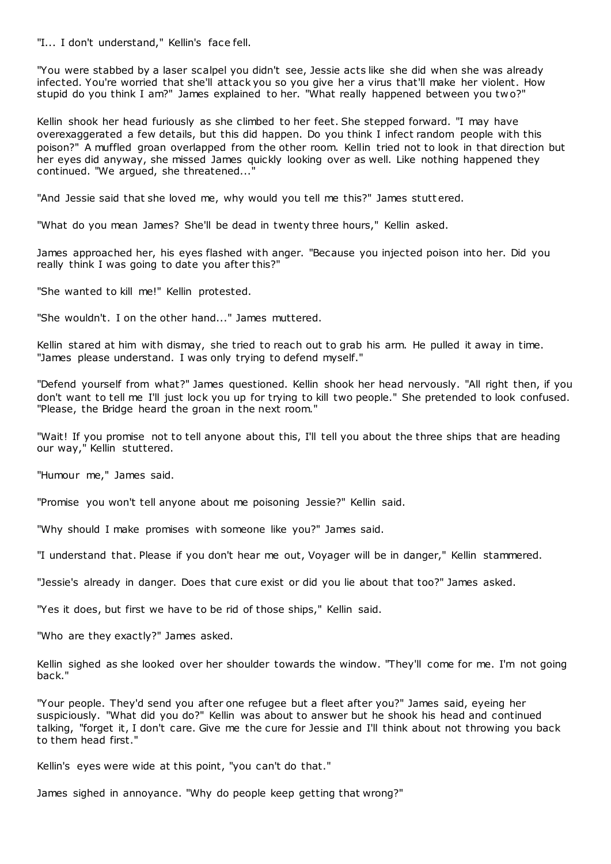"I... I don't understand," Kellin's face fell.

"You were stabbed by a laser scalpel you didn't see, Jessie acts like she did when she was already infected. You're worried that she'll attack you so you give her a virus that'll make her violent. How stupid do you think I am?" James explained to her. "What really happened between you tw o?"

Kellin shook her head furiously as she climbed to her feet. She stepped forward. "I may have overexaggerated a few details, but this did happen. Do you think I infect random people with this poison?" A muffled groan overlapped from the other room. Kellin tried not to look in that direction but her eyes did anyway, she missed James quickly looking over as well. Like nothing happened they continued. "We argued, she threatened...

"And Jessie said that she loved me, why would you tell me this?" James stutt ered.

"What do you mean James? She'll be dead in twenty three hours," Kellin asked.

James approached her, his eyes flashed with anger. "Because you injected poison into her. Did you really think I was going to date you after this?"

"She wanted to kill me!" Kellin protested.

"She wouldn't. I on the other hand..." James muttered.

Kellin stared at him with dismay, she tried to reach out to grab his arm. He pulled it away in time. "James please understand. I was only trying to defend myself."

"Defend yourself from what?" James questioned. Kellin shook her head nervously. "All right then, if you don't want to tell me I'll just lock you up for trying to kill two people." She pretended to look confused. "Please, the Bridge heard the groan in the next room."

"Wait! If you promise not to tell anyone about this, I'll tell you about the three ships that are heading our way," Kellin stuttered.

"Humour me," James said.

"Promise you won't tell anyone about me poisoning Jessie?" Kellin said.

"Why should I make promises with someone like you?" James said.

"I understand that. Please if you don't hear me out, Voyager will be in danger," Kellin stammered.

"Jessie's already in danger. Does that cure exist or did you lie about that too?" James asked.

"Yes it does, but first we have to be rid of those ships," Kellin said.

"Who are they exactly?" James asked.

Kellin sighed as she looked over her shoulder towards the window. "They'll come for me. I'm not going back."

"Your people. They'd send you after one refugee but a fleet after you?" James said, eyeing her suspiciously. "What did you do?" Kellin was about to answer but he shook his head and continued talking, "forget it, I don't care. Give me the cure for Jessie and I'll think about not throwing you back to them head first."

Kellin's eyes were wide at this point, "you can't do that."

James sighed in annoyance. "Why do people keep getting that wrong?"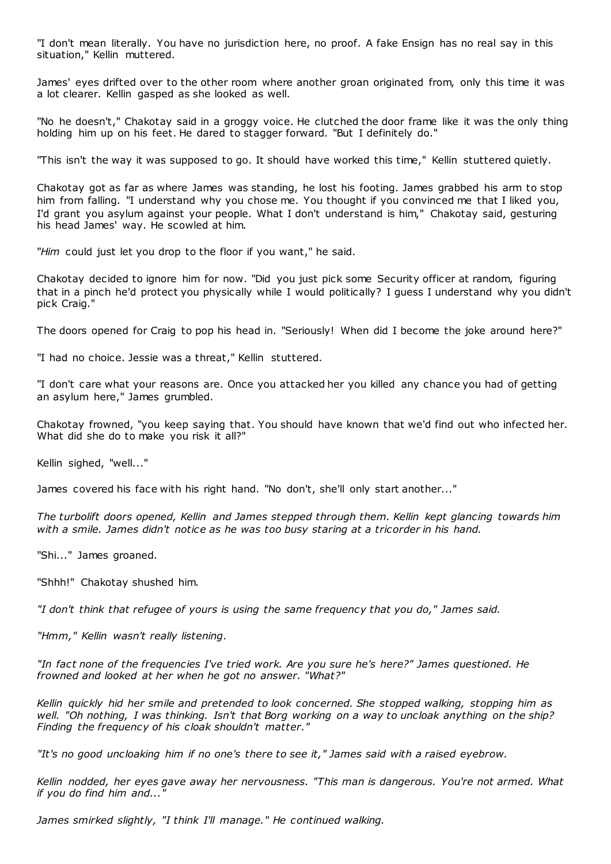"I don't mean literally. You have no jurisdiction here, no proof. A fake Ensign has no real say in this situation," Kellin muttered.

James' eyes drifted over to the other room where another groan originated from, only this time it was a lot clearer. Kellin gasped as she looked as well.

"No he doesn't," Chakotay said in a groggy voice. He clutched the door frame like it was the only thing holding him up on his feet. He dared to stagger forward. "But I definitely do."

"This isn't the way it was supposed to go. It should have worked this time," Kellin stuttered quietly.

Chakotay got as far as where James was standing, he lost his footing. James grabbed his arm to stop him from falling. "I understand why you chose me. You thought if you convinced me that I liked you, I'd grant you asylum against your people. What I don't understand is him," Chakotay said, gesturing his head James' way. He scowled at him.

"*Him* could just let you drop to the floor if you want," he said.

Chakotay decided to ignore him for now. "Did you just pick some Security officer at random, figuring that in a pinch he'd protect you physically while I would politically? I guess I understand why you didn't pick Craig."

The doors opened for Craig to pop his head in. "Seriously! When did I become the joke around here?"

"I had no choice. Jessie was a threat," Kellin stuttered.

"I don't care what your reasons are. Once you attacked her you killed any chance you had of getting an asylum here," James grumbled.

Chakotay frowned, "you keep saying that. You should have known that we'd find out who infected her. What did she do to make you risk it all?"

Kellin sighed, "well..."

James covered his face with his right hand. "No don't, she'll only start another..."

*The turbolift doors opened, Kellin and James stepped through them. Kellin kept glancing towards him with a smile. James didn't notice as he was too busy staring at a tricorder in his hand.*

"Shi..." James groaned.

"Shhh!" Chakotay shushed him.

*"I don't think that refugee of yours is using the same frequency that you do," James said.*

*"Hmm," Kellin wasn't really listening.*

*"In fact none of the frequencies I've tried work. Are you sure he's here?" James questioned. He frowned and looked at her when he got no answer. "What?"*

*Kellin quickly hid her smile and pretended to look concerned. She stopped walking, stopping him as well. "Oh nothing, I was thinking. Isn't that Borg working on a way to uncloak anything on the ship? Finding the frequency of his cloak shouldn't matter."*

*"It's no good uncloaking him if no one's there to see it," James said with a raised eyebrow.*

*Kellin nodded, her eyes gave away her nervousness. "This man is dangerous. You're not armed. What if you do find him and..."*

*James smirked slightly, "I think I'll manage." He continued walking.*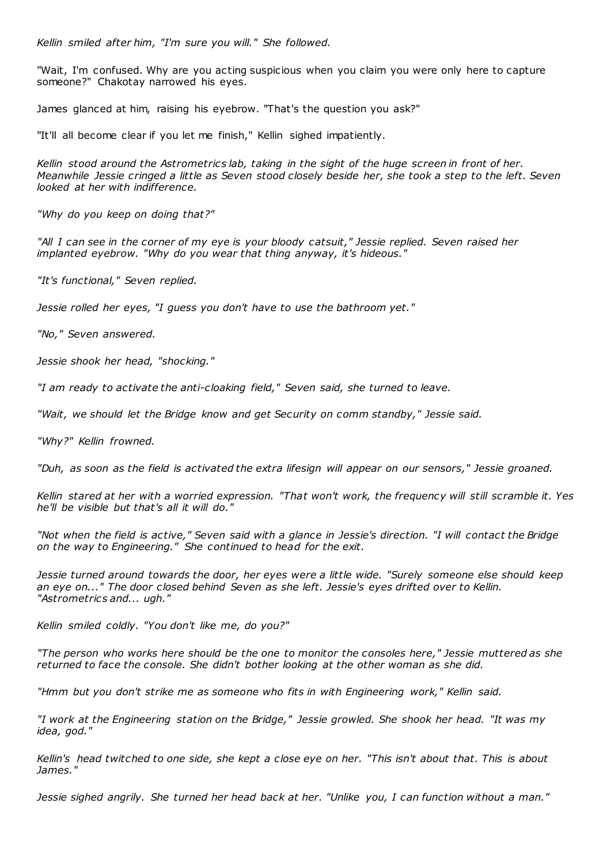*Kellin smiled after him, "I'm sure you will." She followed.*

"Wait, I'm confused. Why are you acting suspicious when you claim you were only here to capture someone?" Chakotay narrowed his eyes.

James glanced at him, raising his eyebrow. "That's the question you ask?"

"It'll all become clear if you let me finish," Kellin sighed impatiently.

*Kellin stood around the Astrometrics lab, taking in the sight of the huge screen in front of her. Meanwhile Jessie cringed a little as Seven stood closely beside her, she took a step to the left. Seven looked at her with indifference.*

*"Why do you keep on doing that?"*

*"All I can see in the corner of my eye is your bloody catsuit," Jessie replied. Seven raised her implanted eyebrow. "Why do you wear that thing anyway, it's hideous."*

*"It's functional," Seven replied.*

*Jessie rolled her eyes, "I guess you don't have to use the bathroom yet."*

*"No," Seven answered.*

*Jessie shook her head, "shocking."*

*"I am ready to activate the anti-cloaking field," Seven said, she turned to leave.*

*"Wait, we should let the Bridge know and get Security on comm standby," Jessie said.*

*"Why?" Kellin frowned.*

*"Duh, as soon as the field is activated the extra lifesign will appear on our sensors," Jessie groaned.*

*Kellin stared at her with a worried expression. "That won't work, the frequency will still scramble it. Yes he'll be visible but that's all it will do."*

*"Not when the field is active," Seven said with a glance in Jessie's direction. "I will contact the Bridge on the way to Engineering." She continued to head for the exit.*

*Jessie turned around towards the door, her eyes were a little wide. "Surely someone else should keep an eye on..." The door closed behind Seven as she left. Jessie's eyes drifted over to Kellin. "Astrometrics and... ugh."*

*Kellin smiled coldly. "You don't like me, do you?"*

*"The person who works here should be the one to monitor the consoles here," Jessie muttered as she returned to face the console. She didn't bother looking at the other woman as she did.*

*"Hmm but you don't strike me as someone who fits in with Engineering work," Kellin said.*

*"I work at the Engineering station on the Bridge," Jessie growled. She shook her head. "It was my idea, god."*

*Kellin's head twitched to one side, she kept a close eye on her. "This isn't about that. This is about James."*

*Jessie sighed angrily. She turned her head back at her. "Unlike you, I can function without a man."*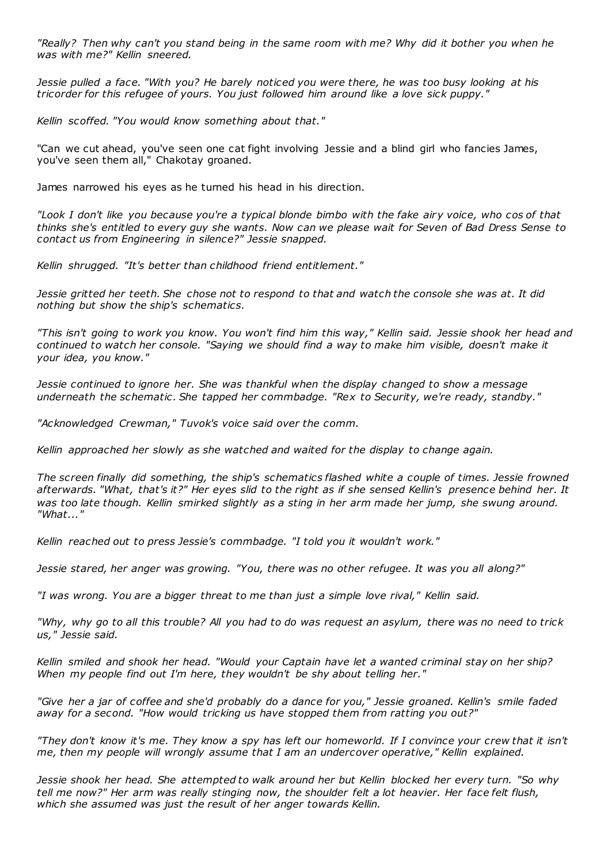*"Really? Then why can't you stand being in the same room with me? Why did it bother you when he was with me?" Kellin sneered.*

*Jessie pulled a face. "With you? He barely noticed you were there, he was too busy looking at his tricorder for this refugee of yours. You just followed him around like a love sick puppy."*

*Kellin scoffed. "You would know something about that."*

"Can we cut ahead, you've seen one cat fight involving Jessie and a blind girl who fancies James, you've seen them all," Chakotay groaned.

James narrowed his eyes as he turned his head in his direction.

*"Look I don't like you because you're a typical blonde bimbo with the fake airy voice, who cos of that thinks she's entitled to every guy she wants. Now can we please wait for Seven of Bad Dress Sense to contact us from Engineering in silence?" Jessie snapped.*

*Kellin shrugged. "It's better than childhood friend entitlement."*

*Jessie gritted her teeth. She chose not to respond to that and watch the console she was at. It did nothing but show the ship's schematics.*

*"This isn't going to work you know. You won't find him this way," Kellin said. Jessie shook her head and continued to watch her console. "Saying we should find a way to make him visible, doesn't make it your idea, you know."*

*Jessie continued to ignore her. She was thankful when the display changed to show a message underneath the schematic . She tapped her commbadge. "Rex to Security, we're ready, standby."*

*"Acknowledged Crewman," Tuvok's voice said over the comm.*

*Kellin approached her slowly as she watched and waited for the display to change again.*

*The screen finally did something, the ship's schematics flashed white a couple of times. Jessie frowned afterwards. "What, that's it?" Her eyes slid to the right as if she sensed Kellin's presence behind her. It was too late though. Kellin smirked slightly as a sting in her arm made her jump, she swung around. "What..."*

*Kellin reached out to press Jessie's commbadge. "I told you it wouldn't work."*

*Jessie stared, her anger was growing. "You, there was no other refugee. It was you all along?"*

*"I was wrong. You are a bigger threat to me than just a simple love rival," Kellin said.*

*"Why, why go to all this trouble? All you had to do was request an asylum, there was no need to trick us," Jessie said.*

*Kellin smiled and shook her head. "Would your Captain have let a wanted criminal stay on her ship? When my people find out I'm here, they wouldn't be shy about telling her."*

*"Give her a jar of coffee and she'd probably do a dance for you," Jessie groaned. Kellin's smile faded away for a second. "How would tricking us have stopped them from ratting you out?"*

*"They don't know it's me. They know a spy has left our homeworld. If I convince your crew that it isn't me, then my people will wrongly assume that I am an undercover operative," Kellin explained.*

*Jessie shook her head. She attempted to walk around her but Kellin blocked her every turn. "So why tell me now?" Her arm was really stinging now, the shoulder felt a lot heavier. Her face felt flush, which she assumed was just the result of her anger towards Kellin.*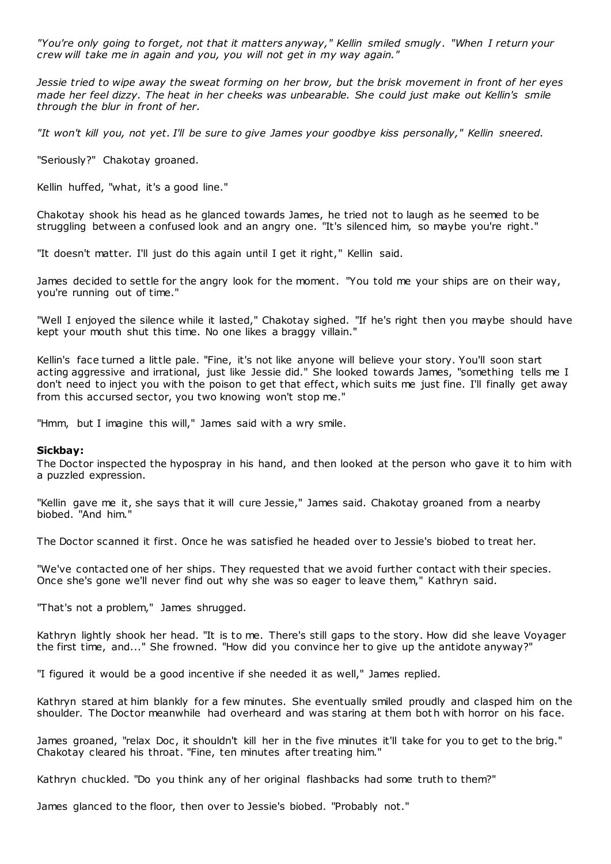*"You're only going to forget, not that it matters anyway," Kellin smiled smugly. "When I return your crew will take me in again and you, you will not get in my way again."*

*Jessie tried to wipe away the sweat forming on her brow, but the brisk movement in front of her eyes made her feel dizzy. The heat in her cheeks was unbearable. She could just make out Kellin's smile through the blur in front of her.*

*"It won't kill you, not yet. I'll be sure to give James your goodbye kiss personally," Kellin sneered.*

"Seriously?" Chakotay groaned.

Kellin huffed, "what, it's a good line."

Chakotay shook his head as he glanced towards James, he tried not to laugh as he seemed to be struggling between a confused look and an angry one. "It's silenced him, so maybe you're right."

"It doesn't matter. I'll just do this again until I get it right," Kellin said.

James decided to settle for the angry look for the moment. "You told me your ships are on their way, you're running out of time."

"Well I enjoyed the silence while it lasted," Chakotay sighed. "If he's right then you maybe should have kept your mouth shut this time. No one likes a braggy villain."

Kellin's face turned a little pale. "Fine, it's not like anyone will believe your story. You'll soon start acting aggressive and irrational, just like Jessie did." She looked towards James, "something tells me I don't need to inject you with the poison to get that effect, which suits me just fine. I'll finally get away from this accursed sector, you two knowing won't stop me."

"Hmm, but I imagine this will," James said with a wry smile.

#### **Sickbay:**

The Doctor inspected the hypospray in his hand, and then looked at the person who gave it to him with a puzzled expression.

"Kellin gave me it, she says that it will cure Jessie," James said. Chakotay groaned from a nearby biobed. "And him."

The Doctor scanned it first. Once he was satisfied he headed over to Jessie's biobed to treat her.

"We've contacted one of her ships. They requested that we avoid further contact with their species. Once she's gone we'll never find out why she was so eager to leave them," Kathryn said.

"That's not a problem," James shrugged.

Kathryn lightly shook her head. "It is to me. There's still gaps to the story. How did she leave Voyager the first time, and..." She frowned. "How did you convince her to give up the antidote anyway?"

"I figured it would be a good incentive if she needed it as well," James replied.

Kathryn stared at him blankly for a few minutes. She eventually smiled proudly and clasped him on the shoulder. The Doctor meanwhile had overheard and was staring at them bot h with horror on his face.

James groaned, "relax Doc, it shouldn't kill her in the five minutes it'll take for you to get to the brig." Chakotay cleared his throat. "Fine, ten minutes after treating him."

Kathryn chuckled. "Do you think any of her original flashbacks had some truth to them?"

James glanced to the floor, then over to Jessie's biobed. "Probably not."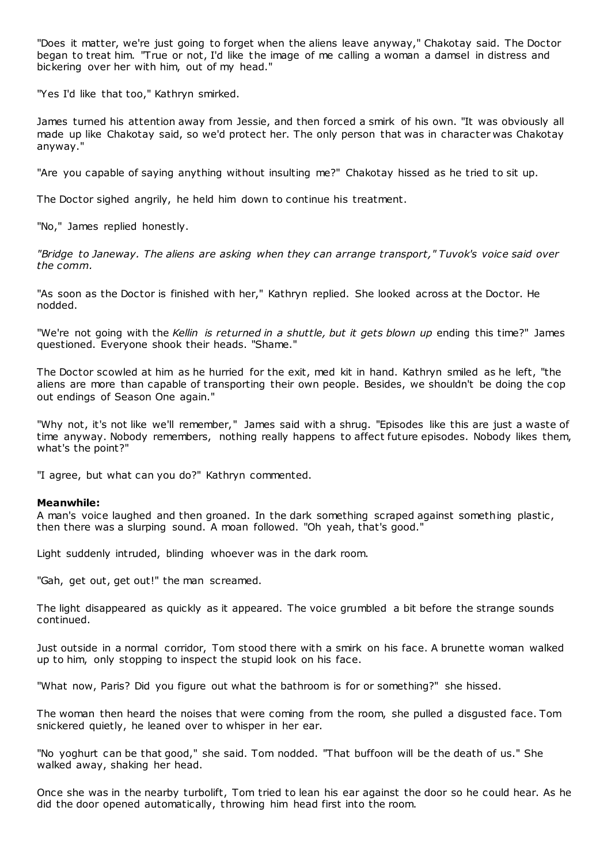"Does it matter, we're just going to forget when the aliens leave anyway," Chakotay said. The Doctor began to treat him. "True or not, I'd like the image of me calling a woman a damsel in distress and bickering over her with him, out of my head."

"Yes I'd like that too," Kathryn smirked.

James turned his attention away from Jessie, and then forced a smirk of his own. "It was obviously all made up like Chakotay said, so we'd protect her. The only person that was in character was Chakotay anyway."

"Are you capable of saying anything without insulting me?" Chakotay hissed as he tried to sit up.

The Doctor sighed angrily, he held him down to continue his treatment.

"No," James replied honestly.

*"Bridge to Janeway. The aliens are asking when they can arrange transport," Tuvok's voice said over the comm.*

"As soon as the Doctor is finished with her," Kathryn replied. She looked across at the Doctor. He nodded.

"We're not going with the *Kellin is returned in a shuttle, but it gets blown up* ending this time?" James questioned. Everyone shook their heads. "Shame."

The Doctor scowled at him as he hurried for the exit, med kit in hand. Kathryn smiled as he left, "the aliens are more than capable of transporting their own people. Besides, we shouldn't be doing the cop out endings of Season One again."

"Why not, it's not like we'll remember," James said with a shrug. "Episodes like this are just a waste of time anyway. Nobody remembers, nothing really happens to affect future episodes. Nobody likes them, what's the point?"

"I agree, but what can you do?" Kathryn commented.

## **Meanwhile:**

A man's voice laughed and then groaned. In the dark something scraped against something plastic, then there was a slurping sound. A moan followed. "Oh yeah, that's good."

Light suddenly intruded, blinding whoever was in the dark room.

"Gah, get out, get out!" the man screamed.

The light disappeared as quickly as it appeared. The voice grumbled a bit before the strange sounds continued.

Just outside in a normal corridor, Tom stood there with a smirk on his face. A brunette woman walked up to him, only stopping to inspect the stupid look on his face.

"What now, Paris? Did you figure out what the bathroom is for or something?" she hissed.

The woman then heard the noises that were coming from the room, she pulled a disgusted face. Tom snickered quietly, he leaned over to whisper in her ear.

"No yoghurt can be that good," she said. Tom nodded. "That buffoon will be the death of us." She walked away, shaking her head.

Once she was in the nearby turbolift, Tom tried to lean his ear against the door so he could hear. As he did the door opened automatically, throwing him head first into the room.